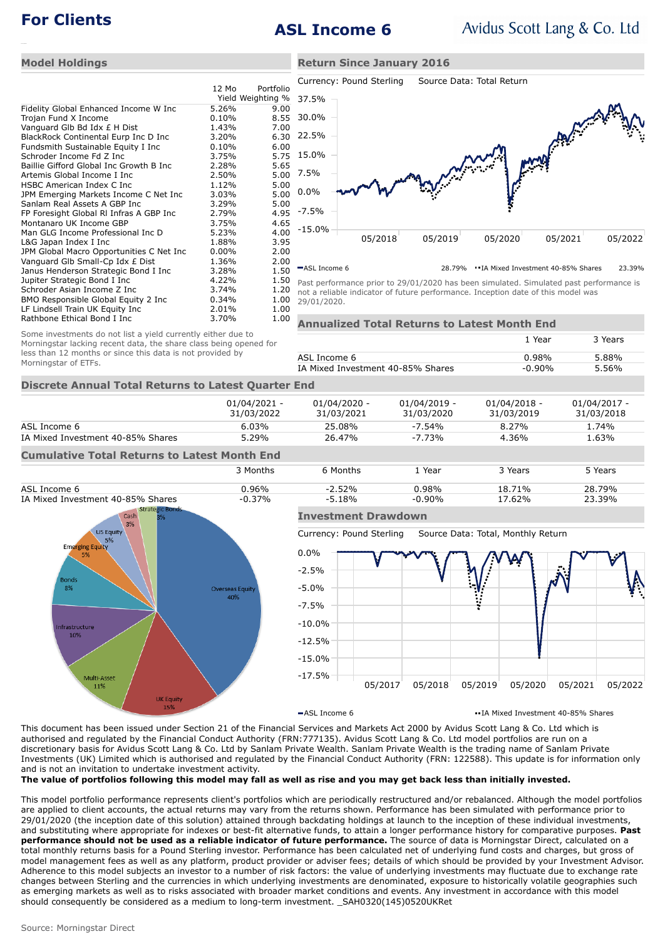# **For Clients ASL Income 6**

**Return Since January 2016**

### **Model Holdings**

Morningstar of ETFs.

|                                          |          |                   | C              |
|------------------------------------------|----------|-------------------|----------------|
|                                          | 12 Mo    | Portfolio         |                |
|                                          |          | Yield Weighting % | 3              |
| Fidelity Global Enhanced Income W Inc    | 5.26%    | 9.00              |                |
| Trojan Fund X Income                     | $0.10\%$ | 8.55              | 3              |
| Vanguard Glb Bd Idx £ H Dist             | 1.43%    | 7.00              |                |
| BlackRock Continental Eurp Inc D Inc     | 3.20%    | 6.30              | 2              |
| Fundsmith Sustainable Equity I Inc       | 0.10%    | 6.00              |                |
| Schroder Income Fd Z Inc                 | 3.75%    | 5.75              | 1              |
| Baillie Gifford Global Inc Growth B Inc  | 2.28%    | 5.65              |                |
| Artemis Global Income I Inc              | 2.50%    | 5.00              | 7              |
| HSBC American Index C Inc                | 1.12%    | 5.00              |                |
| JPM Emerging Markets Income C Net Inc    | 3.03%    | 5.00              | 0              |
| Sanlam Real Assets A GBP Inc             | 3.29%    | 5.00              |                |
| FP Foresight Global RI Infras A GBP Inc  | 2.79%    | 4.95              |                |
| Montanaro UK Income GBP                  | 3.75%    | 4.65              |                |
| Man GLG Income Professional Inc D        | 5.23%    | 4.00              |                |
| L&G Japan Index I Inc                    | 1.88%    | 3.95              |                |
| JPM Global Macro Opportunities C Net Inc | $0.00\%$ | 2.00              |                |
| Vanguard Glb Small-Cp Idx £ Dist         | 1.36%    | 2.00              |                |
| Janus Henderson Strategic Bond I Inc     | 3.28%    | 1.50              |                |
| Jupiter Strategic Bond I Inc             | 4.22%    | 1.50              | P.             |
| Schroder Asian Income Z Inc              | 3.74%    | 1.20              | n              |
| BMO Responsible Global Equity 2 Inc      | 0.34%    | 1.00              | $\overline{2}$ |
| LF Lindsell Train UK Equity Inc          | 2.01%    | 1.00              |                |
| Rathbone Ethical Bond I Inc              | 3.70%    | 1.00              |                |
|                                          |          |                   |                |



ASL Income 6 28.79% • IA Mixed Investment 40-85% Shares 23.39%

ast performance prior to 29/01/2020 has been simulated. Simulated past performance is ot a reliable indicator of future performance. Inception date of this model was 29/01/2020.

| ЭO | <b>Annualized Total Returns to Latest Month End</b> |           |         |  |  |
|----|-----------------------------------------------------|-----------|---------|--|--|
|    |                                                     | 1 Year    | 3 Years |  |  |
|    | ASL Income 6                                        | 0.98%     | 5.88%   |  |  |
|    | IA Mixed Investment 40-85% Shares                   | $-0.90\%$ | 5.56%   |  |  |
|    | ar End                                              |           |         |  |  |

### **Discrete Annual Total Returns to Latest Quarte**

Some investments do not list a yield currently either due to Morningstar lacking recent data, the share class being opened for less than 12 months or since this data is not provided by

|                                                     | $01/04/2021 -$<br>31/03/2022 | 01/04/2020 -<br>31/03/2021 | $01/04/2019 -$<br>31/03/2020 | $01/04/2018 -$<br>31/03/2019 | 01/04/2017 -<br>31/03/2018 |
|-----------------------------------------------------|------------------------------|----------------------------|------------------------------|------------------------------|----------------------------|
| ASL Income 6                                        | 6.03%                        | 25.08%                     | $-7.54\%$                    | 8.27%                        | 1.74%                      |
| IA Mixed Investment 40-85% Shares                   | 5.29%                        | 26.47%                     | $-7.73%$                     | 4.36%                        | 1.63%                      |
| <b>Cumulative Total Returns to Latest Month End</b> |                              |                            |                              |                              |                            |
|                                                     | 3 Months                     | 6 Months                   | 1 Year                       | 3 Years                      | 5 Years                    |
| ASL Income 6                                        | 0.96%                        | $-2.52%$                   | $0.98\%$                     | 18.71%                       | 28.79%                     |



## **Investment Drawdown**

Currency: Pound Sterling Source Data: Total, Monthly Return



 $-$ ASL Income 6 **IA Mixed Investment 40-85% Shares** 

This document has been issued under Section 21 of the Financial Services and Markets Act 2000 by Avidus Scott Lang & Co. Ltd which is authorised and regulated by the Financial Conduct Authority (FRN:777135). Avidus Scott Lang & Co. Ltd model portfolios are run on a discretionary basis for Avidus Scott Lang & Co. Ltd by Sanlam Private Wealth. Sanlam Private Wealth is the trading name of Sanlam Private Investments (UK) Limited which is authorised and regulated by the Financial Conduct Authority (FRN: 122588). This update is for information only and is not an invitation to undertake investment activity.

**The value of portfolios following this model may fall as well as rise and you may get back less than initially invested.**

This model portfolio performance represents client's portfolios which are periodically restructured and/or rebalanced. Although the model portfolios are applied to client accounts, the actual returns may vary from the returns shown. Performance has been simulated with performance prior to 29/01/2020 (the inception date of this solution) attained through backdating holdings at launch to the inception of these individual investments, and substituting where appropriate for indexes or best-fit alternative funds, to attain a longer performance history for comparative purposes. **Past performance should not be used as a reliable indicator of future performance.** The source of data is Morningstar Direct, calculated on a total monthly returns basis for a Pound Sterling investor. Performance has been calculated net of underlying fund costs and charges, but gross of model management fees as well as any platform, product provider or adviser fees; details of which should be provided by your Investment Advisor. Adherence to this model subjects an investor to a number of risk factors: the value of underlying investments may fluctuate due to exchange rate changes between Sterling and the currencies in which underlying investments are denominated, exposure to historically volatile geographies such as emerging markets as well as to risks associated with broader market conditions and events. Any investment in accordance with this model should consequently be considered as a medium to long-term investment. \_SAH0320(145)0520UKRet